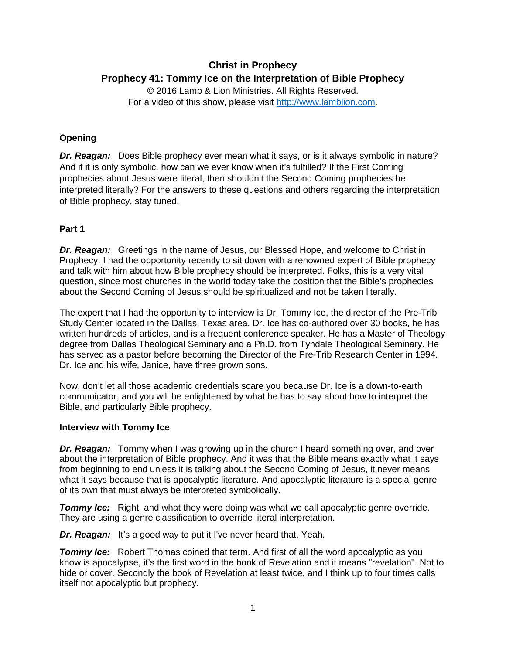# **Christ in Prophecy Prophecy 41: Tommy Ice on the Interpretation of Bible Prophecy**

© 2016 Lamb & Lion Ministries. All Rights Reserved. For a video of this show, please visit [http://www.lamblion.com.](http://www.lamblion.com/)

## **Opening**

*Dr. Reagan:* Does Bible prophecy ever mean what it says, or is it always symbolic in nature? And if it is only symbolic, how can we ever know when it's fulfilled? If the First Coming prophecies about Jesus were literal, then shouldn't the Second Coming prophecies be interpreted literally? For the answers to these questions and others regarding the interpretation of Bible prophecy, stay tuned.

## **Part 1**

*Dr. Reagan:* Greetings in the name of Jesus, our Blessed Hope, and welcome to Christ in Prophecy. I had the opportunity recently to sit down with a renowned expert of Bible prophecy and talk with him about how Bible prophecy should be interpreted. Folks, this is a very vital question, since most churches in the world today take the position that the Bible's prophecies about the Second Coming of Jesus should be spiritualized and not be taken literally.

The expert that I had the opportunity to interview is Dr. Tommy Ice, the director of the Pre-Trib Study Center located in the Dallas, Texas area. Dr. Ice has co-authored over 30 books, he has written hundreds of articles, and is a frequent conference speaker. He has a Master of Theology degree from Dallas Theological Seminary and a Ph.D. from Tyndale Theological Seminary. He has served as a pastor before becoming the Director of the Pre-Trib Research Center in 1994. Dr. Ice and his wife, Janice, have three grown sons.

Now, don't let all those academic credentials scare you because Dr. Ice is a down-to-earth communicator, and you will be enlightened by what he has to say about how to interpret the Bible, and particularly Bible prophecy.

## **Interview with Tommy Ice**

*Dr. Reagan:* Tommy when I was growing up in the church I heard something over, and over about the interpretation of Bible prophecy. And it was that the Bible means exactly what it says from beginning to end unless it is talking about the Second Coming of Jesus, it never means what it says because that is apocalyptic literature. And apocalyptic literature is a special genre of its own that must always be interpreted symbolically.

*Tommy Ice:* Right, and what they were doing was what we call apocalyptic genre override. They are using a genre classification to override literal interpretation.

*Dr. Reagan:* It's a good way to put it I've never heard that. Yeah.

**Tommy Ice:** Robert Thomas coined that term. And first of all the word apocalyptic as you know is apocalypse, it's the first word in the book of Revelation and it means "revelation". Not to hide or cover. Secondly the book of Revelation at least twice, and I think up to four times calls itself not apocalyptic but prophecy.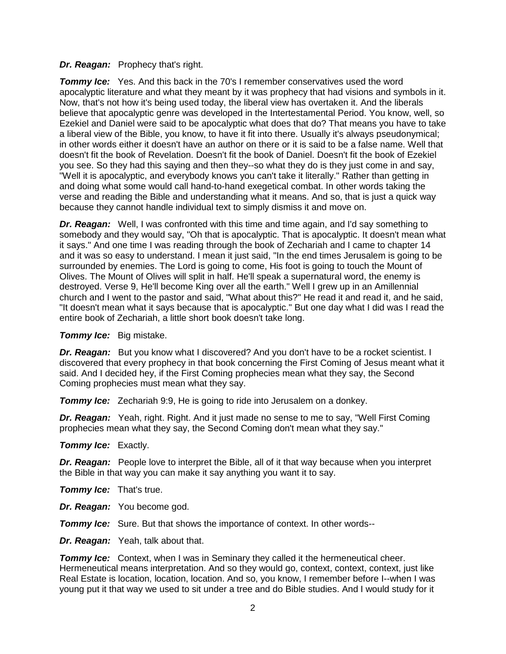#### *Dr. Reagan:* Prophecy that's right.

**Tommy Ice:** Yes. And this back in the 70's I remember conservatives used the word apocalyptic literature and what they meant by it was prophecy that had visions and symbols in it. Now, that's not how it's being used today, the liberal view has overtaken it. And the liberals believe that apocalyptic genre was developed in the Intertestamental Period. You know, well, so Ezekiel and Daniel were said to be apocalyptic what does that do? That means you have to take a liberal view of the Bible, you know, to have it fit into there. Usually it's always pseudonymical; in other words either it doesn't have an author on there or it is said to be a false name. Well that doesn't fit the book of Revelation. Doesn't fit the book of Daniel. Doesn't fit the book of Ezekiel you see. So they had this saying and then they--so what they do is they just come in and say, "Well it is apocalyptic, and everybody knows you can't take it literally." Rather than getting in and doing what some would call hand-to-hand exegetical combat. In other words taking the verse and reading the Bible and understanding what it means. And so, that is just a quick way because they cannot handle individual text to simply dismiss it and move on.

*Dr. Reagan:* Well, I was confronted with this time and time again, and I'd say something to somebody and they would say, "Oh that is apocalyptic. That is apocalyptic. It doesn't mean what it says." And one time I was reading through the book of Zechariah and I came to chapter 14 and it was so easy to understand. I mean it just said, "In the end times Jerusalem is going to be surrounded by enemies. The Lord is going to come, His foot is going to touch the Mount of Olives. The Mount of Olives will split in half. He'll speak a supernatural word, the enemy is destroyed. Verse 9, He'll become King over all the earth." Well I grew up in an Amillennial church and I went to the pastor and said, "What about this?" He read it and read it, and he said, "It doesn't mean what it says because that is apocalyptic." But one day what I did was I read the entire book of Zechariah, a little short book doesn't take long.

#### *Tommy Ice:* Big mistake.

*Dr. Reagan:* But you know what I discovered? And you don't have to be a rocket scientist. I discovered that every prophecy in that book concerning the First Coming of Jesus meant what it said. And I decided hey, if the First Coming prophecies mean what they say, the Second Coming prophecies must mean what they say.

*Tommy Ice:* Zechariah 9:9, He is going to ride into Jerusalem on a donkey.

*Dr. Reagan:* Yeah, right. Right. And it just made no sense to me to say, "Well First Coming prophecies mean what they say, the Second Coming don't mean what they say."

#### *Tommy Ice:* Exactly.

*Dr. Reagan:* People love to interpret the Bible, all of it that way because when you interpret the Bible in that way you can make it say anything you want it to say.

- *Tommy Ice:* That's true.
- *Dr. Reagan:* You become god.

*Tommy Ice:* Sure. But that shows the importance of context. In other words--

*Dr. Reagan:* Yeah, talk about that.

*Tommy Ice:* Context, when I was in Seminary they called it the hermeneutical cheer. Hermeneutical means interpretation. And so they would go, context, context, context, just like Real Estate is location, location, location. And so, you know, I remember before I--when I was young put it that way we used to sit under a tree and do Bible studies. And I would study for it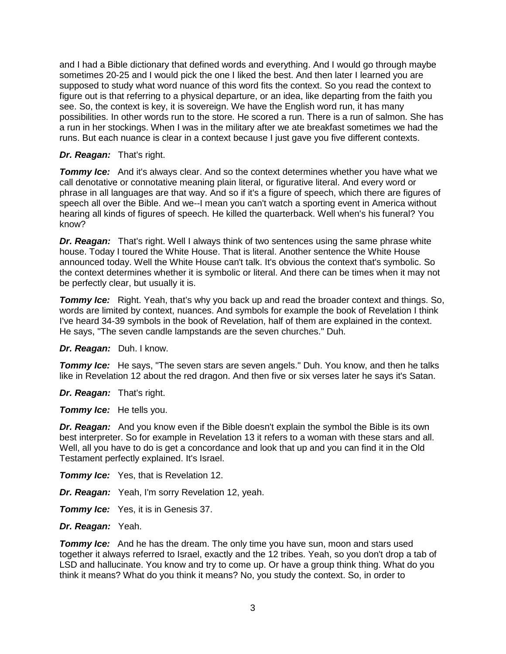and I had a Bible dictionary that defined words and everything. And I would go through maybe sometimes 20-25 and I would pick the one I liked the best. And then later I learned you are supposed to study what word nuance of this word fits the context. So you read the context to figure out is that referring to a physical departure, or an idea, like departing from the faith you see. So, the context is key, it is sovereign. We have the English word run, it has many possibilities. In other words run to the store. He scored a run. There is a run of salmon. She has a run in her stockings. When I was in the military after we ate breakfast sometimes we had the runs. But each nuance is clear in a context because I just gave you five different contexts.

## *Dr. Reagan:* That's right.

**Tommy Ice:** And it's always clear. And so the context determines whether you have what we call denotative or connotative meaning plain literal, or figurative literal. And every word or phrase in all languages are that way. And so if it's a figure of speech, which there are figures of speech all over the Bible. And we--I mean you can't watch a sporting event in America without hearing all kinds of figures of speech. He killed the quarterback. Well when's his funeral? You know?

*Dr. Reagan:* That's right. Well I always think of two sentences using the same phrase white house. Today I toured the White House. That is literal. Another sentence the White House announced today. Well the White House can't talk. It's obvious the context that's symbolic. So the context determines whether it is symbolic or literal. And there can be times when it may not be perfectly clear, but usually it is.

**Tommy Ice:** Right. Yeah, that's why you back up and read the broader context and things. So, words are limited by context, nuances. And symbols for example the book of Revelation I think I've heard 34-39 symbols in the book of Revelation, half of them are explained in the context. He says, "The seven candle lampstands are the seven churches." Duh.

*Dr. Reagan:* Duh. I know.

**Tommy Ice:** He says, "The seven stars are seven angels." Duh. You know, and then he talks like in Revelation 12 about the red dragon. And then five or six verses later he says it's Satan.

*Dr. Reagan:* That's right.

*Tommy Ice:* He tells you.

**Dr. Reagan:** And you know even if the Bible doesn't explain the symbol the Bible is its own best interpreter. So for example in Revelation 13 it refers to a woman with these stars and all. Well, all you have to do is get a concordance and look that up and you can find it in the Old Testament perfectly explained. It's Israel.

**Tommy Ice:** Yes, that is Revelation 12.

*Dr. Reagan:* Yeah, I'm sorry Revelation 12, yeah.

**Tommy Ice:** Yes, it is in Genesis 37.

*Dr. Reagan:* Yeah.

**Tommy Ice:** And he has the dream. The only time you have sun, moon and stars used together it always referred to Israel, exactly and the 12 tribes. Yeah, so you don't drop a tab of LSD and hallucinate. You know and try to come up. Or have a group think thing. What do you think it means? What do you think it means? No, you study the context. So, in order to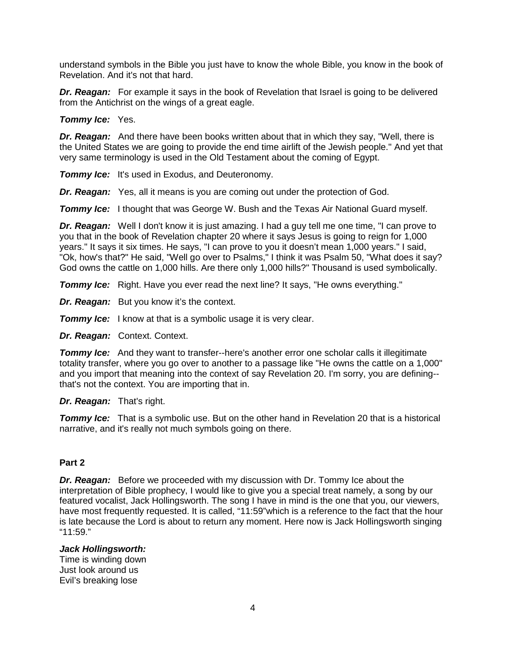understand symbols in the Bible you just have to know the whole Bible, you know in the book of Revelation. And it's not that hard.

*Dr. Reagan:* For example it says in the book of Revelation that Israel is going to be delivered from the Antichrist on the wings of a great eagle.

#### *Tommy Ice:* Yes.

*Dr. Reagan:* And there have been books written about that in which they say, "Well, there is the United States we are going to provide the end time airlift of the Jewish people." And yet that very same terminology is used in the Old Testament about the coming of Egypt.

*Tommy Ice:* It's used in Exodus, and Deuteronomy.

*Dr. Reagan:* Yes, all it means is you are coming out under the protection of God.

**Tommy Ice:** I thought that was George W. Bush and the Texas Air National Guard myself.

*Dr. Reagan:* Well I don't know it is just amazing. I had a guy tell me one time, "I can prove to you that in the book of Revelation chapter 20 where it says Jesus is going to reign for 1,000 years." It says it six times. He says, "I can prove to you it doesn't mean 1,000 years." I said, "Ok, how's that?" He said, "Well go over to Psalms," I think it was Psalm 50, "What does it say? God owns the cattle on 1,000 hills. Are there only 1,000 hills?" Thousand is used symbolically.

**Tommy Ice:** Right. Have you ever read the next line? It says, "He owns everything."

*Dr. Reagan:* But you know it's the context.

**Tommy Ice:** I know at that is a symbolic usage it is very clear.

*Dr. Reagan:* Context. Context.

**Tommy Ice:** And they want to transfer--here's another error one scholar calls it illegitimate totality transfer, where you go over to another to a passage like "He owns the cattle on a 1,000" and you import that meaning into the context of say Revelation 20. I'm sorry, you are defining- that's not the context. You are importing that in.

#### *Dr. Reagan:* That's right.

**Tommy Ice:** That is a symbolic use. But on the other hand in Revelation 20 that is a historical narrative, and it's really not much symbols going on there.

#### **Part 2**

*Dr. Reagan:* Before we proceeded with my discussion with Dr. Tommy Ice about the interpretation of Bible prophecy, I would like to give you a special treat namely, a song by our featured vocalist, Jack Hollingsworth. The song I have in mind is the one that you, our viewers, have most frequently requested. It is called, "11:59" which is a reference to the fact that the hour is late because the Lord is about to return any moment. Here now is Jack Hollingsworth singing "11:59."

#### *Jack Hollingsworth:*

Time is winding down Just look around us Evil's breaking lose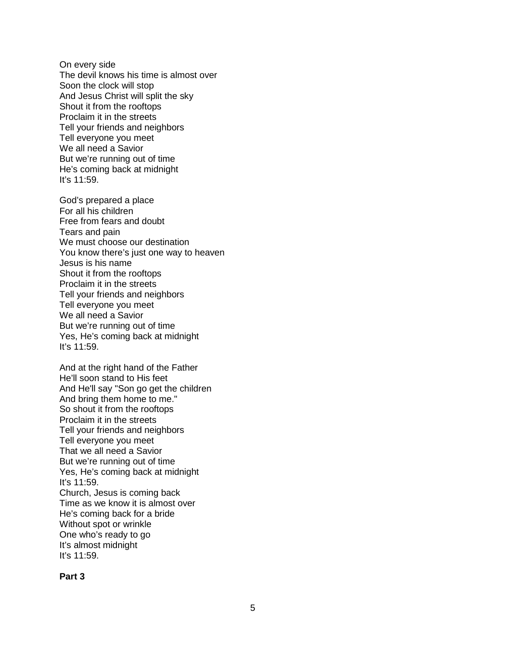On every side The devil knows his time is almost over Soon the clock will stop And Jesus Christ will split the sky Shout it from the rooftops Proclaim it in the streets Tell your friends and neighbors Tell everyone you meet We all need a Savior But we're running out of time He's coming back at midnight It's 11:59.

God's prepared a place For all his children Free from fears and doubt Tears and pain We must choose our destination You know there's just one way to heaven Jesus is his name Shout it from the rooftops Proclaim it in the streets Tell your friends and neighbors Tell everyone you meet We all need a Savior But we're running out of time Yes, He's coming back at midnight It's 11:59.

And at the right hand of the Father He'll soon stand to His feet And He'll say "Son go get the children And bring them home to me." So shout it from the rooftops Proclaim it in the streets Tell your friends and neighbors Tell everyone you meet That we all need a Savior But we're running out of time Yes, He's coming back at midnight It's 11:59. Church, Jesus is coming back Time as we know it is almost over He's coming back for a bride Without spot or wrinkle One who's ready to go It's almost midnight It's 11:59.

#### **Part 3**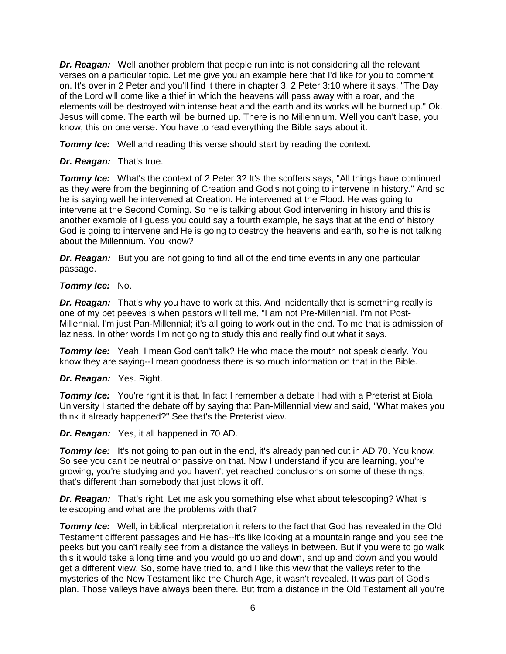*Dr. Reagan:* Well another problem that people run into is not considering all the relevant verses on a particular topic. Let me give you an example here that I'd like for you to comment on. It's over in 2 Peter and you'll find it there in chapter 3. 2 Peter 3:10 where it says, "The Day of the Lord will come like a thief in which the heavens will pass away with a roar, and the elements will be destroyed with intense heat and the earth and its works will be burned up." Ok. Jesus will come. The earth will be burned up. There is no Millennium. Well you can't base, you know, this on one verse. You have to read everything the Bible says about it.

**Tommy Ice:** Well and reading this verse should start by reading the context.

### *Dr. Reagan:* That's true.

**Tommy Ice:** What's the context of 2 Peter 3? It's the scoffers says, "All things have continued as they were from the beginning of Creation and God's not going to intervene in history." And so he is saying well he intervened at Creation. He intervened at the Flood. He was going to intervene at the Second Coming. So he is talking about God intervening in history and this is another example of I guess you could say a fourth example, he says that at the end of history God is going to intervene and He is going to destroy the heavens and earth, so he is not talking about the Millennium. You know?

**Dr. Reagan:** But you are not going to find all of the end time events in any one particular passage.

#### *Tommy Ice:* No.

*Dr. Reagan:* That's why you have to work at this. And incidentally that is something really is one of my pet peeves is when pastors will tell me, "I am not Pre-Millennial. I'm not Post-Millennial. I'm just Pan-Millennial; it's all going to work out in the end. To me that is admission of laziness. In other words I'm not going to study this and really find out what it says.

**Tommy Ice:** Yeah, I mean God can't talk? He who made the mouth not speak clearly. You know they are saying--I mean goodness there is so much information on that in the Bible.

## *Dr. Reagan:* Yes. Right.

**Tommy Ice:** You're right it is that. In fact I remember a debate I had with a Preterist at Biola University I started the debate off by saying that Pan-Millennial view and said, "What makes you think it already happened?" See that's the Preterist view.

*Dr. Reagan:* Yes, it all happened in 70 AD.

**Tommy Ice:** It's not going to pan out in the end, it's already panned out in AD 70. You know. So see you can't be neutral or passive on that. Now I understand if you are learning, you're growing, you're studying and you haven't yet reached conclusions on some of these things, that's different than somebody that just blows it off.

*Dr. Reagan:* That's right. Let me ask you something else what about telescoping? What is telescoping and what are the problems with that?

**Tommy Ice:** Well, in biblical interpretation it refers to the fact that God has revealed in the Old Testament different passages and He has--it's like looking at a mountain range and you see the peeks but you can't really see from a distance the valleys in between. But if you were to go walk this it would take a long time and you would go up and down, and up and down and you would get a different view. So, some have tried to, and I like this view that the valleys refer to the mysteries of the New Testament like the Church Age, it wasn't revealed. It was part of God's plan. Those valleys have always been there. But from a distance in the Old Testament all you're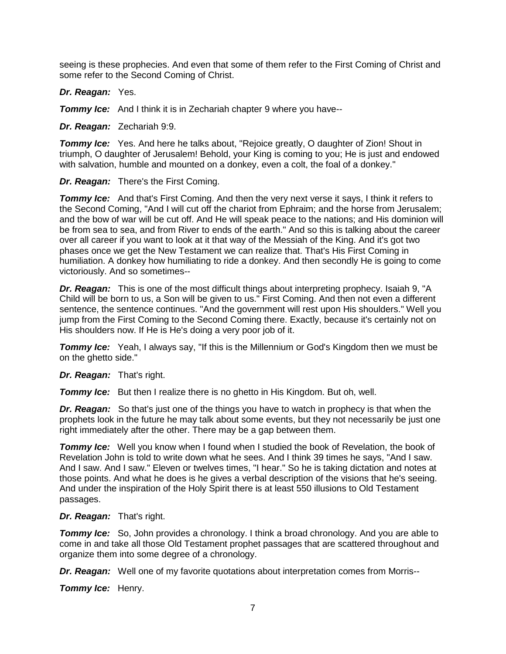seeing is these prophecies. And even that some of them refer to the First Coming of Christ and some refer to the Second Coming of Christ.

*Dr. Reagan:* Yes.

**Tommy Ice:** And I think it is in Zechariah chapter 9 where you have--

*Dr. Reagan:* Zechariah 9:9.

**Tommy Ice:** Yes. And here he talks about, "Rejoice greatly, O daughter of Zion! Shout in triumph, O daughter of Jerusalem! Behold, your King is coming to you; He is just and endowed with salvation, humble and mounted on a donkey, even a colt, the foal of a donkey."

*Dr. Reagan:* There's the First Coming.

**Tommy Ice:** And that's First Coming. And then the very next verse it says, I think it refers to the Second Coming, "And I will cut off the chariot from Ephraim; and the horse from Jerusalem; and the bow of war will be cut off. And He will speak peace to the nations; and His dominion will be from sea to sea, and from River to ends of the earth." And so this is talking about the career over all career if you want to look at it that way of the Messiah of the King. And it's got two phases once we get the New Testament we can realize that. That's His First Coming in humiliation. A donkey how humiliating to ride a donkey. And then secondly He is going to come victoriously. And so sometimes--

*Dr. Reagan:* This is one of the most difficult things about interpreting prophecy. Isaiah 9, "A Child will be born to us, a Son will be given to us." First Coming. And then not even a different sentence, the sentence continues. "And the government will rest upon His shoulders." Well you jump from the First Coming to the Second Coming there. Exactly, because it's certainly not on His shoulders now. If He is He's doing a very poor job of it.

**Tommy Ice:** Yeah, I always say, "If this is the Millennium or God's Kingdom then we must be on the ghetto side."

*Dr. Reagan:* That's right.

*Tommy Ice:* But then I realize there is no ghetto in His Kingdom. But oh, well.

*Dr. Reagan:* So that's just one of the things you have to watch in prophecy is that when the prophets look in the future he may talk about some events, but they not necessarily be just one right immediately after the other. There may be a gap between them.

**Tommy Ice:** Well you know when I found when I studied the book of Revelation, the book of Revelation John is told to write down what he sees. And I think 39 times he says, "And I saw. And I saw. And I saw." Eleven or twelves times, "I hear." So he is taking dictation and notes at those points. And what he does is he gives a verbal description of the visions that he's seeing. And under the inspiration of the Holy Spirit there is at least 550 illusions to Old Testament passages.

*Dr. Reagan:* That's right.

**Tommy Ice:** So, John provides a chronology. I think a broad chronology. And you are able to come in and take all those Old Testament prophet passages that are scattered throughout and organize them into some degree of a chronology.

*Dr. Reagan:* Well one of my favorite quotations about interpretation comes from Morris--

*Tommy Ice:* Henry.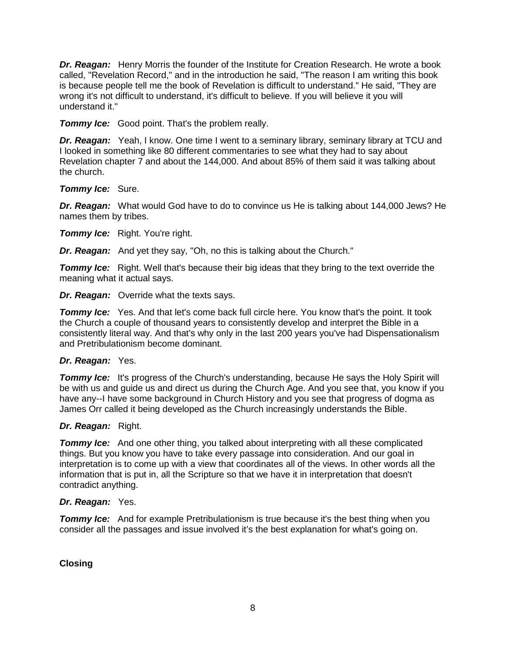*Dr. Reagan:* Henry Morris the founder of the Institute for Creation Research. He wrote a book called, "Revelation Record," and in the introduction he said, "The reason I am writing this book is because people tell me the book of Revelation is difficult to understand." He said, "They are wrong it's not difficult to understand, it's difficult to believe. If you will believe it you will understand it."

*Tommy Ice:* Good point. That's the problem really.

**Dr. Reagan:** Yeah, I know. One time I went to a seminary library, seminary library at TCU and I looked in something like 80 different commentaries to see what they had to say about Revelation chapter 7 and about the 144,000. And about 85% of them said it was talking about the church.

*Tommy Ice:* Sure.

*Dr. Reagan:* What would God have to do to convince us He is talking about 144,000 Jews? He names them by tribes.

*Tommy Ice:* Right. You're right.

*Dr. Reagan:* And yet they say, "Oh, no this is talking about the Church."

**Tommy Ice:** Right. Well that's because their big ideas that they bring to the text override the meaning what it actual says.

**Dr. Reagan:** Override what the texts says.

**Tommy Ice:** Yes. And that let's come back full circle here. You know that's the point. It took the Church a couple of thousand years to consistently develop and interpret the Bible in a consistently literal way. And that's why only in the last 200 years you've had Dispensationalism and Pretribulationism become dominant.

#### *Dr. Reagan:* Yes.

**Tommy Ice:** It's progress of the Church's understanding, because He says the Holy Spirit will be with us and guide us and direct us during the Church Age. And you see that, you know if you have any--I have some background in Church History and you see that progress of dogma as James Orr called it being developed as the Church increasingly understands the Bible.

## *Dr. Reagan:* Right.

**Tommy Ice:** And one other thing, you talked about interpreting with all these complicated things. But you know you have to take every passage into consideration. And our goal in interpretation is to come up with a view that coordinates all of the views. In other words all the information that is put in, all the Scripture so that we have it in interpretation that doesn't contradict anything.

#### *Dr. Reagan:* Yes.

**Tommy Ice:** And for example Pretribulationism is true because it's the best thing when you consider all the passages and issue involved it's the best explanation for what's going on.

**Closing**